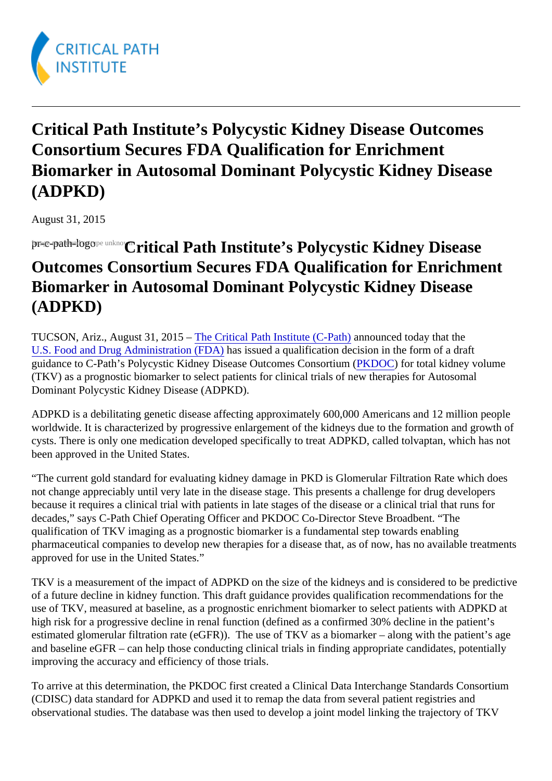Critical Path Institute's Polycystic Kidney Disease Outcomes Consortium Secures FDA Qualification for Enrichment Biomarker in Autosomal Dominant Polycystic Kidney Disease (ADPKD)

August 31, 2015

pre-path-logone unk@ritical Path Institute's Polycystic Kidney Disease Outcomes Consortium Secures FDA Qualification for Enrichment Biomarker in Autosomal Dominant Polycystic Kidney Disease (ADPKD)

TUCSON,Ariz., August 31, 2015 The Critical Path Institute (C-Path) nounced today that the [U.S. Food and Drug Administration \(FD](http://www.fda.gov/)A)as issued a qualification decision in the form of a draft guidance to C-Path's Polycystic Kidney Disease Outcomes Consortion ( Portotal kidney volume (TKV) as a prognostic biomarker to select patients for clinical trials of new therapies for Autosomal Dominant Polycystic Kidney Disease (ADPKD).

ADPKD is a debilitating genetic disease affecting approximately 600,000 Americans and 12 million people worldwide. It is characterized by progressive enlargement of the kidneys due to the formation and growth of cysts. There is only one medication developed specifically to treat ADPKD, called tolvaptan, which has not been approved in the United States.

"The current gold standard for evaluating kidney damage in PKD is Glomerular Filtration Rate which does not change appreciably until very late in the disease stage. This presents a challenge for drug developers because it requires a clinical trial with patients in late stages of the disease or a clinical trial that runs for decades," says C-Path Chief Operating Officer and PKDOC Co-Director Steve Broadbent. "The qualification of TKV imaging as a prognostic biomarker is a fundamental step towards enabling pharmaceutical companies to develop new therapies for a disease that, as of now, has no available treatments approved for use in the United States."

TKV is a measurement of the impact of ADPKD on the size of the kidneys and is considered to be prediction of a future decline in kidney function. This draft guidance provides qualification recommendations for the use of TKV, measured at baseline, as a prognostic enrichment biomarker to select patients with ADPKD at high risk for a progressive decline in renal function (defined as a confirmed 30% decline in the patient's estimated glomerular filtration rate (eGFR)). The use of TKV as a biomarker – along with the patient's age and baseline eGFR – can help those conducting clinical trials in finding appropriate candidates, potentially improving the accuracy and efficiency of those trials.

To arrive at this determination, the PKDOC first created a Clinical Data Interchange Standards Consortium (CDISC) data standard for ADPKD and used it to remap the data from several patient registries and observational studies. The database was then used to develop a joint model linking the trajectory of TKV